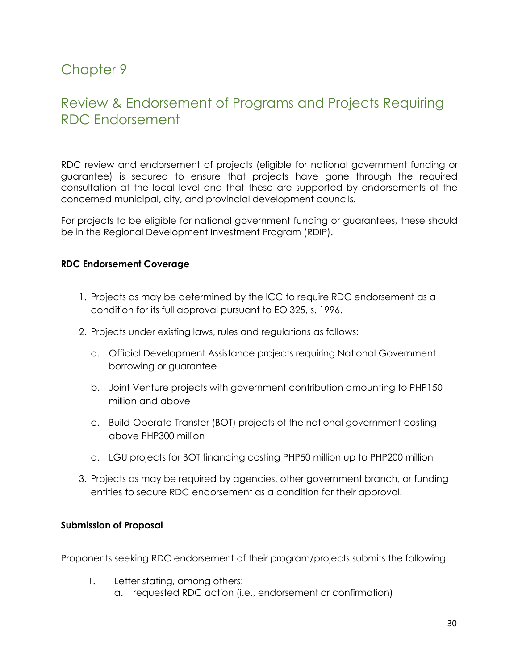# Chapter 9

## Review & Endorsement of Programs and Projects Requiring RDC Endorsement

RDC review and endorsement of projects (eligible for national government funding or guarantee) is secured to ensure that projects have gone through the required consultation at the local level and that these are supported by endorsements of the concerned municipal, city, and provincial development councils.

For projects to be eligible for national government funding or guarantees, these should be in the Regional Development Investment Program (RDIP).

#### **RDC Endorsement Coverage**

- 1. Projects as may be determined by the ICC to require RDC endorsement as a condition for its full approval pursuant to EO 325, s. 1996.
- 2. Projects under existing laws, rules and regulations as follows:
	- a. Official Development Assistance projects requiring National Government borrowing or guarantee
	- b. Joint Venture projects with government contribution amounting to PHP150 million and above
	- c. Build-Operate-Transfer (BOT) projects of the national government costing above PHP300 million
	- d. LGU projects for BOT financing costing PHP50 million up to PHP200 million
- 3. Projects as may be required by agencies, other government branch, or funding entities to secure RDC endorsement as a condition for their approval.

## **Submission of Proposal**

Proponents seeking RDC endorsement of their program/projects submits the following:

- 1. Letter stating, among others:
	- a. requested RDC action (i.e., endorsement or confirmation)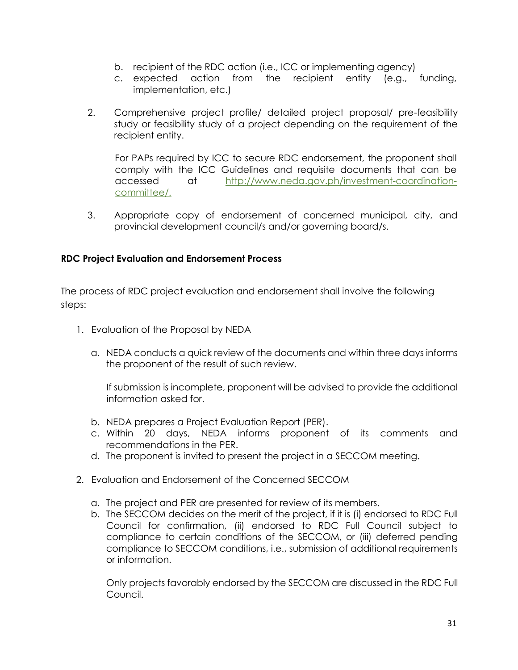- b. recipient of the RDC action (i.e., ICC or implementing agency)
- c. expected action from the recipient entity (e.g., funding, implementation, etc.)
- 2. Comprehensive project profile/ detailed project proposal/ pre-feasibility study or feasibility study of a project depending on the requirement of the recipient entity.

For PAPs required by ICC to secure RDC endorsement, the proponent shall comply with the ICC Guidelines and requisite documents that can be accessed at [http://www.neda.gov.ph/investment-coordination](about:blank)[committee/.](about:blank)

3. Appropriate copy of endorsement of concerned municipal, city, and provincial development council/s and/or governing board/s.

## **RDC Project Evaluation and Endorsement Process**

The process of RDC project evaluation and endorsement shall involve the following steps:

- 1. Evaluation of the Proposal by NEDA
	- a. NEDA conducts a quick review of the documents and within three days informs the proponent of the result of such review.

If submission is incomplete, proponent will be advised to provide the additional information asked for.

- b. NEDA prepares a Project Evaluation Report (PER).
- c. Within 20 days, NEDA informs proponent of its comments and recommendations in the PER.
- d. The proponent is invited to present the project in a SECCOM meeting.
- 2. Evaluation and Endorsement of the Concerned SECCOM
	- a. The project and PER are presented for review of its members.
	- b. The SECCOM decides on the merit of the project, if it is (i) endorsed to RDC Full Council for confirmation, (ii) endorsed to RDC Full Council subject to compliance to certain conditions of the SECCOM, or (iii) deferred pending compliance to SECCOM conditions, i.e., submission of additional requirements or information.

Only projects favorably endorsed by the SECCOM are discussed in the RDC Full Council.